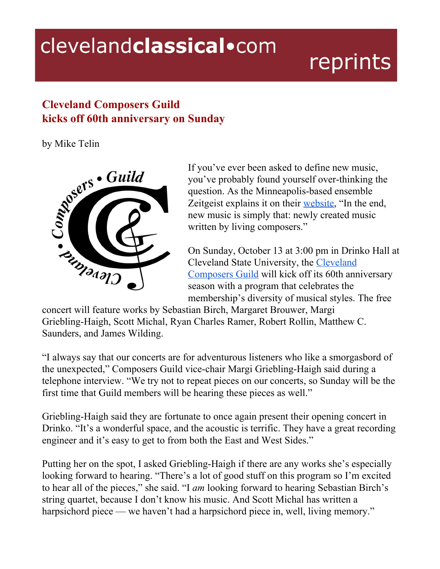## clevelandclassical.com

## reprints

## **Cleveland Composers Guild kicks off 60th anniversary on Sunday**



If you've ever been asked to define new music, you've probably found yourself over-thinking the question. As the Minneapolis-based ensemble Zeitgeist explains it on their [website,](http://www.zeitgeistnewmusic.org/what-is-new-music.html) "In the end, new music is simply that: newly created music written by living composers."

On Sunday, October 13 at 3:00 pm in Drinko Hall at Cleveland State University, the [Cleveland](https://clevelandcomposers.com/) [Composers](https://clevelandcomposers.com/) Guild will kick off its 60th anniversary season with a program that celebrates the membership's diversity of musical styles. The free

concert will feature works by Sebastian Birch, Margaret Brouwer, Margi Griebling-Haigh, Scott Michal, Ryan Charles Ramer, Robert Rollin, Matthew C. Saunders, and James Wilding.

"I always say that our concerts are for adventurous listeners who like a smorgasbord of the unexpected," Composers Guild vice-chair Margi Griebling-Haigh said during a telephone interview. "We try not to repeat pieces on our concerts, so Sunday will be the first time that Guild members will be hearing these pieces as well."

Griebling-Haigh said they are fortunate to once again present their opening concert in Drinko. "It's a wonderful space, and the acoustic is terrific. They have a great recording engineer and it's easy to get to from both the East and West Sides."

Putting her on the spot, I asked Griebling-Haigh if there are any works she's especially looking forward to hearing. "There's a lot of good stuff on this program so I'm excited to hear all of the pieces," she said. "I *am* looking forward to hearing Sebastian Birch's string quartet, because I don't know his music. And Scott Michal has written a harpsichord piece — we haven't had a harpsichord piece in, well, living memory."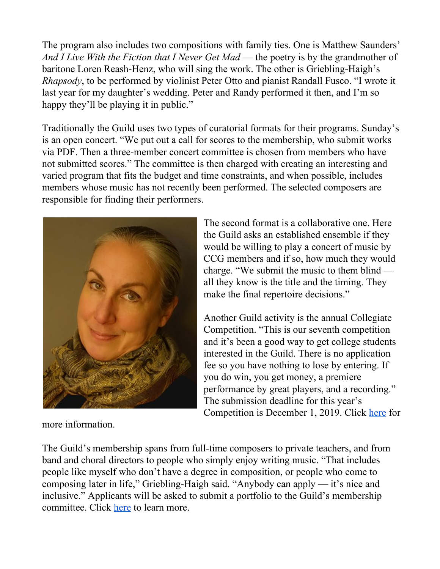The program also includes two compositions with family ties. One is Matthew Saunders' *And I Live With the Fiction that I Never Get Mad* — the poetry is by the grandmother of baritone Loren Reash-Henz, who will sing the work. The other is Griebling-Haigh's *Rhapsody*, to be performed by violinist Peter Otto and pianist Randall Fusco. "I wrote it last year for my daughter's wedding. Peter and Randy performed it then, and I'm so happy they'll be playing it in public."

Traditionally the Guild uses two types of curatorial formats for their programs. Sunday's is an open concert. "We put out a call for scores to the membership, who submit works via PDF. Then a three-member concert committee is chosen from members who have not submitted scores." The committee is then charged with creating an interesting and varied program that fits the budget and time constraints, and when possible, includes members whose music has not recently been performed. The selected composers are responsible for finding their performers.



more information.

The second format is a collaborative one. Here the Guild asks an established ensemble if they would be willing to play a concert of music by CCG members and if so, how much they would charge. "We submit the music to them blind all they know is the title and the timing. They make the final repertoire decisions."

Another Guild activity is the annual Collegiate Competition. "This is our seventh competition and it's been a good way to get college students interested in the Guild. There is no application fee so you have nothing to lose by entering. If you do win, you get money, a premiere performance by great players, and a recording." The submission deadline for this year's Competition is December 1, 2019. Click [here](https://clevelandcomposers.com/composition-contest) for

The Guild's membership spans from full-time composers to private teachers, and from band and choral directors to people who simply enjoy writing music. "That includes people like myself who don't have a degree in composition, or people who come to composing later in life," Griebling-Haigh said. "Anybody can apply — it's nice and inclusive." Applicants will be asked to submit a portfolio to the Guild's membership committee. Click [here](https://clevelandcomposers.com/members) to learn more.